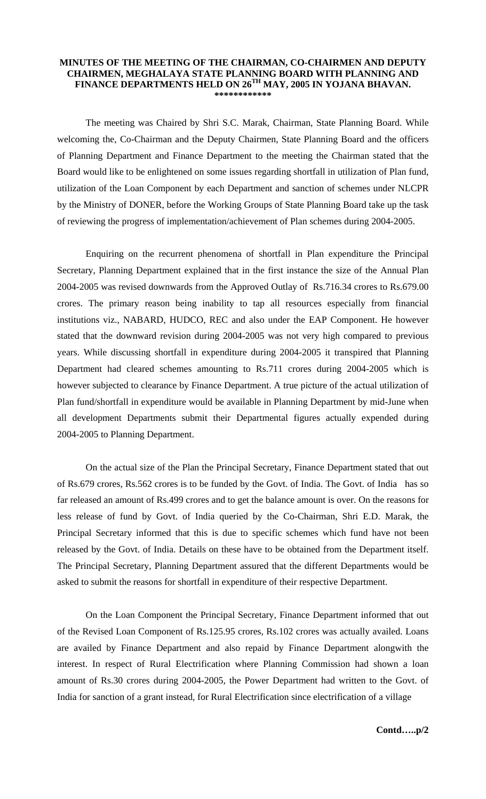## **MINUTES OF THE MEETING OF THE CHAIRMAN, CO-CHAIRMEN AND DEPUTY CHAIRMEN, MEGHALAYA STATE PLANNING BOARD WITH PLANNING AND FINANCE DEPARTMENTS HELD ON 26TH MAY, 2005 IN YOJANA BHAVAN. \*\*\*\*\*\*\*\*\*\*\*\***

The meeting was Chaired by Shri S.C. Marak, Chairman, State Planning Board. While welcoming the, Co-Chairman and the Deputy Chairmen, State Planning Board and the officers of Planning Department and Finance Department to the meeting the Chairman stated that the Board would like to be enlightened on some issues regarding shortfall in utilization of Plan fund, utilization of the Loan Component by each Department and sanction of schemes under NLCPR by the Ministry of DONER, before the Working Groups of State Planning Board take up the task of reviewing the progress of implementation/achievement of Plan schemes during 2004-2005.

 Enquiring on the recurrent phenomena of shortfall in Plan expenditure the Principal Secretary, Planning Department explained that in the first instance the size of the Annual Plan 2004-2005 was revised downwards from the Approved Outlay of Rs.716.34 crores to Rs.679.00 crores. The primary reason being inability to tap all resources especially from financial institutions viz., NABARD, HUDCO, REC and also under the EAP Component. He however stated that the downward revision during 2004-2005 was not very high compared to previous years. While discussing shortfall in expenditure during 2004-2005 it transpired that Planning Department had cleared schemes amounting to Rs.711 crores during 2004-2005 which is however subjected to clearance by Finance Department. A true picture of the actual utilization of Plan fund/shortfall in expenditure would be available in Planning Department by mid-June when all development Departments submit their Departmental figures actually expended during 2004-2005 to Planning Department.

 On the actual size of the Plan the Principal Secretary, Finance Department stated that out of Rs.679 crores, Rs.562 crores is to be funded by the Govt. of India. The Govt. of India has so far released an amount of Rs.499 crores and to get the balance amount is over. On the reasons for less release of fund by Govt. of India queried by the Co-Chairman, Shri E.D. Marak, the Principal Secretary informed that this is due to specific schemes which fund have not been released by the Govt. of India. Details on these have to be obtained from the Department itself. The Principal Secretary, Planning Department assured that the different Departments would be asked to submit the reasons for shortfall in expenditure of their respective Department.

 On the Loan Component the Principal Secretary, Finance Department informed that out of the Revised Loan Component of Rs.125.95 crores, Rs.102 crores was actually availed. Loans are availed by Finance Department and also repaid by Finance Department alongwith the interest. In respect of Rural Electrification where Planning Commission had shown a loan amount of Rs.30 crores during 2004-2005, the Power Department had written to the Govt. of India for sanction of a grant instead, for Rural Electrification since electrification of a village